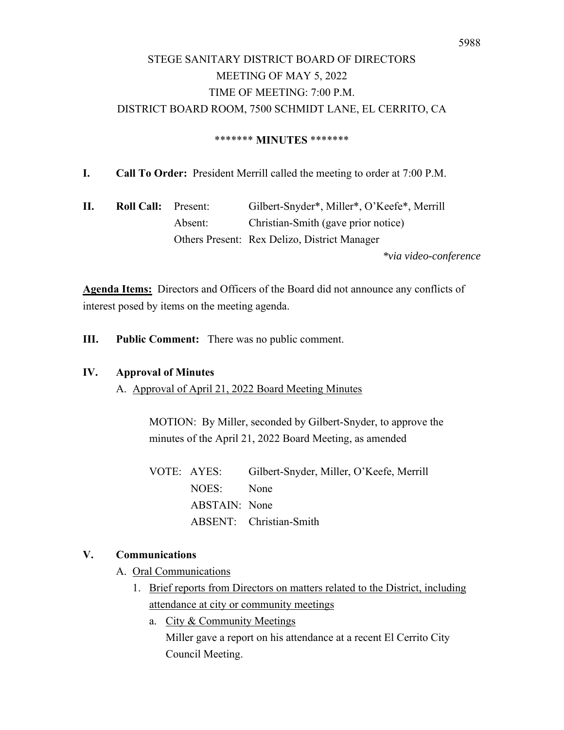# STEGE SANITARY DISTRICT BOARD OF DIRECTORS MEETING OF MAY 5, 2022 TIME OF MEETING: 7:00 P.M. DISTRICT BOARD ROOM, 7500 SCHMIDT LANE, EL CERRITO, CA

### \*\*\*\*\*\*\* **MINUTES** \*\*\*\*\*\*\*

**I. Call To Order:** President Merrill called the meeting to order at 7:00 P.M.

**II. Roll Call:** Present: Gilbert-Snyder\*, Miller\*, O'Keefe\*, Merrill Absent: Christian-Smith (gave prior notice) Others Present: Rex Delizo, District Manager

*\*via video-conference* 

**Agenda Items:** Directors and Officers of the Board did not announce any conflicts of interest posed by items on the meeting agenda.

**III. Public Comment:** There was no public comment.

### **IV. Approval of Minutes**

A. Approval of April 21, 2022 Board Meeting Minutes

MOTION: By Miller, seconded by Gilbert-Snyder, to approve the minutes of the April 21, 2022 Board Meeting, as amended

VOTE: AYES: Gilbert-Snyder, Miller, O'Keefe, Merrill NOES: None ABSTAIN: None ABSENT: Christian-Smith

# **V. Communications**

A. Oral Communications

- 1. Brief reports from Directors on matters related to the District, including attendance at city or community meetings
	- a. City & Community Meetings Miller gave a report on his attendance at a recent El Cerrito City Council Meeting.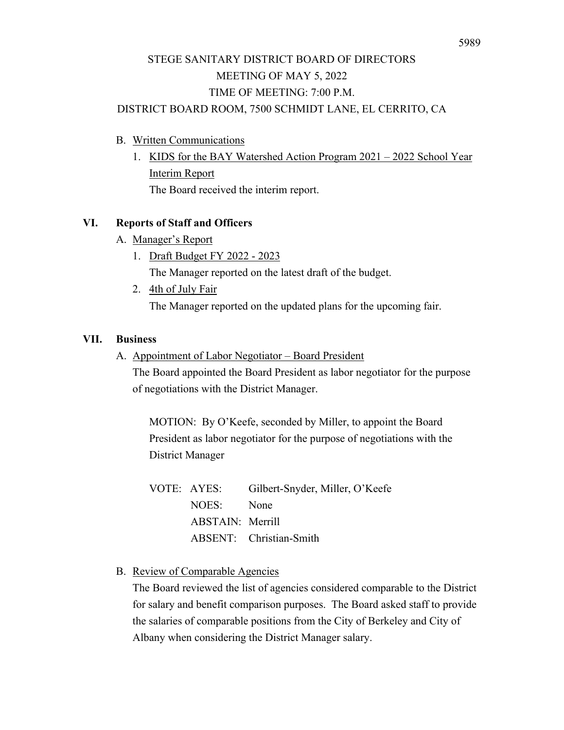# STEGE SANITARY DISTRICT BOARD OF DIRECTORS MEETING OF MAY 5, 2022 TIME OF MEETING: 7:00 P.M.

# DISTRICT BOARD ROOM, 7500 SCHMIDT LANE, EL CERRITO, CA

- B. Written Communications
	- 1. KIDS for the BAY Watershed Action Program 2021 2022 School Year Interim Report The Board received the interim report.

# **VI. Reports of Staff and Officers**

- A. Manager's Report
	- 1. Draft Budget FY 2022 2023

The Manager reported on the latest draft of the budget.

2. 4th of July Fair

The Manager reported on the updated plans for the upcoming fair.

## **VII. Business**

A. Appointment of Labor Negotiator – Board President

The Board appointed the Board President as labor negotiator for the purpose of negotiations with the District Manager.

MOTION: By O'Keefe, seconded by Miller, to appoint the Board President as labor negotiator for the purpose of negotiations with the District Manager

|                  | VOTE: AYES: Gilbert-Snyder, Miller, O'Keefe |
|------------------|---------------------------------------------|
| NOES: None       |                                             |
| ABSTAIN: Merrill |                                             |
|                  | ABSENT: Christian-Smith                     |

# B. Review of Comparable Agencies

The Board reviewed the list of agencies considered comparable to the District for salary and benefit comparison purposes. The Board asked staff to provide the salaries of comparable positions from the City of Berkeley and City of Albany when considering the District Manager salary.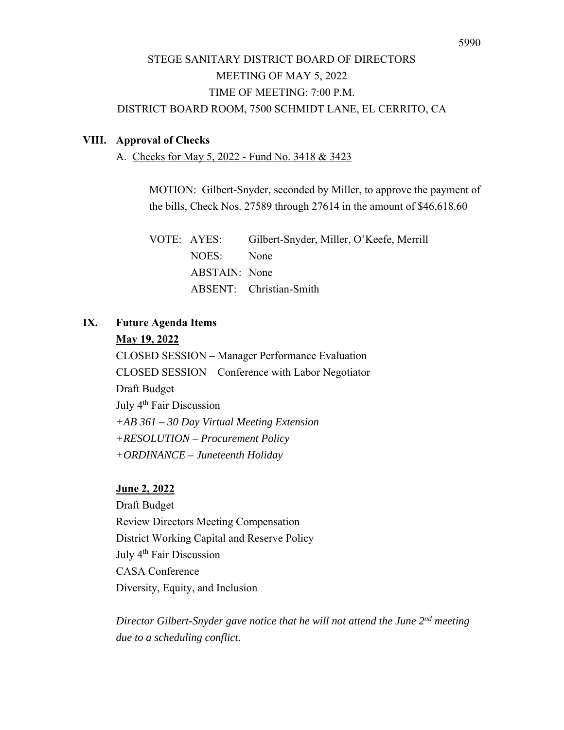# STEGE SANITARY DISTRICT BOARD OF DIRECTORS MEETING OF MAY 5, 2022 TIME OF MEETING: 7:00 P.M. DISTRICT BOARD ROOM, 7500 SCHMIDT LANE, EL CERRITO, CA

### **VIII. Approval of Checks**

A. Checks for May 5, 2022 - Fund No. 3418 & 3423

MOTION: Gilbert-Snyder, seconded by Miller, to approve the payment of the bills, Check Nos. 27589 through 27614 in the amount of \$46,618.60

VOTE: AYES: Gilbert-Snyder, Miller, O'Keefe, Merrill NOES: None ABSTAIN: None ABSENT: Christian-Smith

### **IX. Future Agenda Items**

### **May 19, 2022**

CLOSED SESSION – Manager Performance Evaluation CLOSED SESSION – Conference with Labor Negotiator Draft Budget July 4<sup>th</sup> Fair Discussion *+AB 361 – 30 Day Virtual Meeting Extension +RESOLUTION – Procurement Policy +ORDINANCE – Juneteenth Holiday* 

#### **June 2, 2022**

Draft Budget Review Directors Meeting Compensation District Working Capital and Reserve Policy July 4<sup>th</sup> Fair Discussion CASA Conference Diversity, Equity, and Inclusion

*Director Gilbert-Snyder gave notice that he will not attend the June 2nd meeting due to a scheduling conflict.*